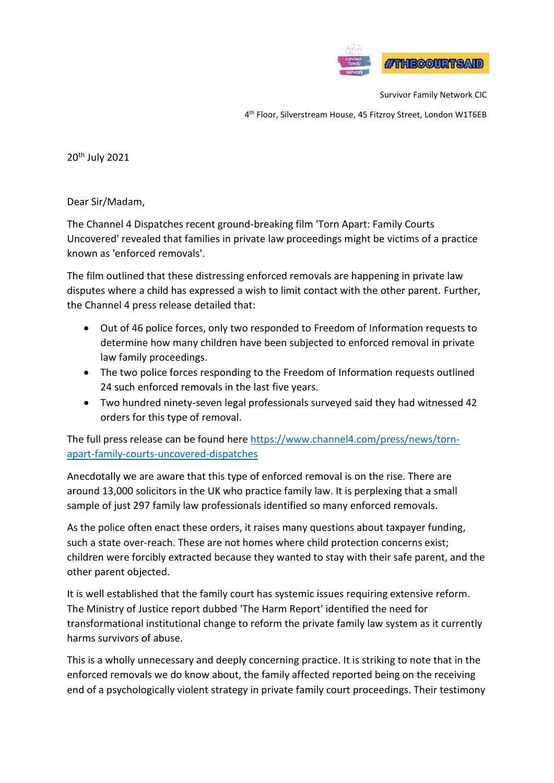

Survivor Family Network CIC

4 th Floor, Silverstream House, 45 Fitzroy Street, London W1T6EB

20th July 2021

Dear Sir/Madam,

The Channel 4 Dispatches recent ground-breaking film 'Torn Apart: Family Courts Uncovered' revealed that families in private law proceedings might be victims of a practice known as 'enforced removals'.

The film outlined that these distressing enforced removals are happening in private law disputes where a child has expressed a wish to limit contact with the other parent. Further, the Channel 4 press release detailed that:

- Out of 46 police forces, only two responded to Freedom of Information requests to determine how many children have been subjected to enforced removal in private law family proceedings.
- The two police forces responding to the Freedom of Information requests outlined 24 such enforced removals in the last five years.
- Two hundred ninety-seven legal professionals surveyed said they had witnessed 42 orders for this type of removal.

The full press release can be found here [https://www.channel4.com/press/news/torn](https://www.channel4.com/press/news/torn-apart-family-courts-uncovered-dispatches)[apart-family-courts-uncovered-dispatches](https://www.channel4.com/press/news/torn-apart-family-courts-uncovered-dispatches)

Anecdotally we are aware that this type of enforced removal is on the rise. There are around 13,000 solicitors in the UK who practice family law. It is perplexing that a small sample of just 297 family law professionals identified so many enforced removals.

As the police often enact these orders, it raises many questions about taxpayer funding, such a state over-reach. These are not homes where child protection concerns exist; children were forcibly extracted because they wanted to stay with their safe parent, and the other parent objected.

It is well established that the family court has systemic issues requiring extensive reform. The Ministry of Justice report dubbed 'The Harm Report' identified the need for transformational institutional change to reform the private family law system as it currently harms survivors of abuse.

This is a wholly unnecessary and deeply concerning practice. It is striking to note that in the enforced removals we do know about, the family affected reported being on the receiving end of a psychologically violent strategy in private family court proceedings. Their testimony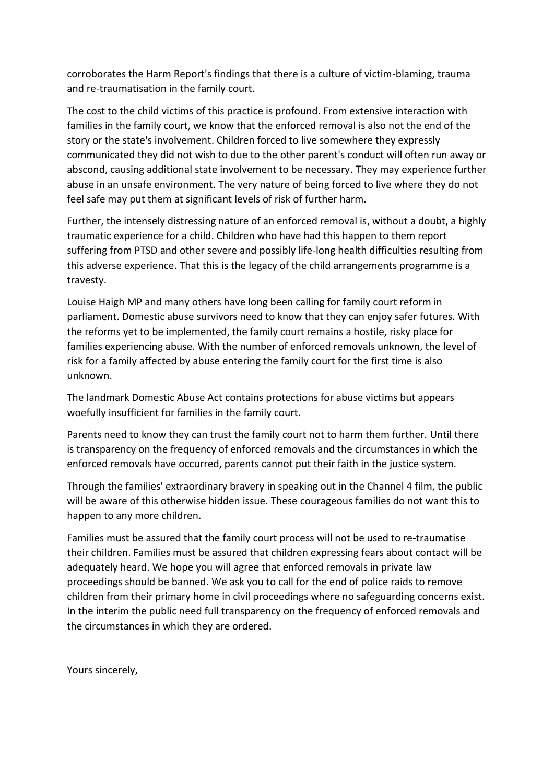corroborates the Harm Report's findings that there is a culture of victim-blaming, trauma and re-traumatisation in the family court.

The cost to the child victims of this practice is profound. From extensive interaction with families in the family court, we know that the enforced removal is also not the end of the story or the state's involvement. Children forced to live somewhere they expressly communicated they did not wish to due to the other parent's conduct will often run away or abscond, causing additional state involvement to be necessary. They may experience further abuse in an unsafe environment. The very nature of being forced to live where they do not feel safe may put them at significant levels of risk of further harm.

Further, the intensely distressing nature of an enforced removal is, without a doubt, a highly traumatic experience for a child. Children who have had this happen to them report suffering from PTSD and other severe and possibly life-long health difficulties resulting from this adverse experience. That this is the legacy of the child arrangements programme is a travesty.

Louise Haigh MP and many others have long been calling for family court reform in parliament. Domestic abuse survivors need to know that they can enjoy safer futures. With the reforms yet to be implemented, the family court remains a hostile, risky place for families experiencing abuse. With the number of enforced removals unknown, the level of risk for a family affected by abuse entering the family court for the first time is also unknown.

The landmark Domestic Abuse Act contains protections for abuse victims but appears woefully insufficient for families in the family court.

Parents need to know they can trust the family court not to harm them further. Until there is transparency on the frequency of enforced removals and the circumstances in which the enforced removals have occurred, parents cannot put their faith in the justice system.

Through the families' extraordinary bravery in speaking out in the Channel 4 film, the public will be aware of this otherwise hidden issue. These courageous families do not want this to happen to any more children.

Families must be assured that the family court process will not be used to re-traumatise their children. Families must be assured that children expressing fears about contact will be adequately heard. We hope you will agree that enforced removals in private law proceedings should be banned. We ask you to call for the end of police raids to remove children from their primary home in civil proceedings where no safeguarding concerns exist. In the interim the public need full transparency on the frequency of enforced removals and the circumstances in which they are ordered.

Yours sincerely,